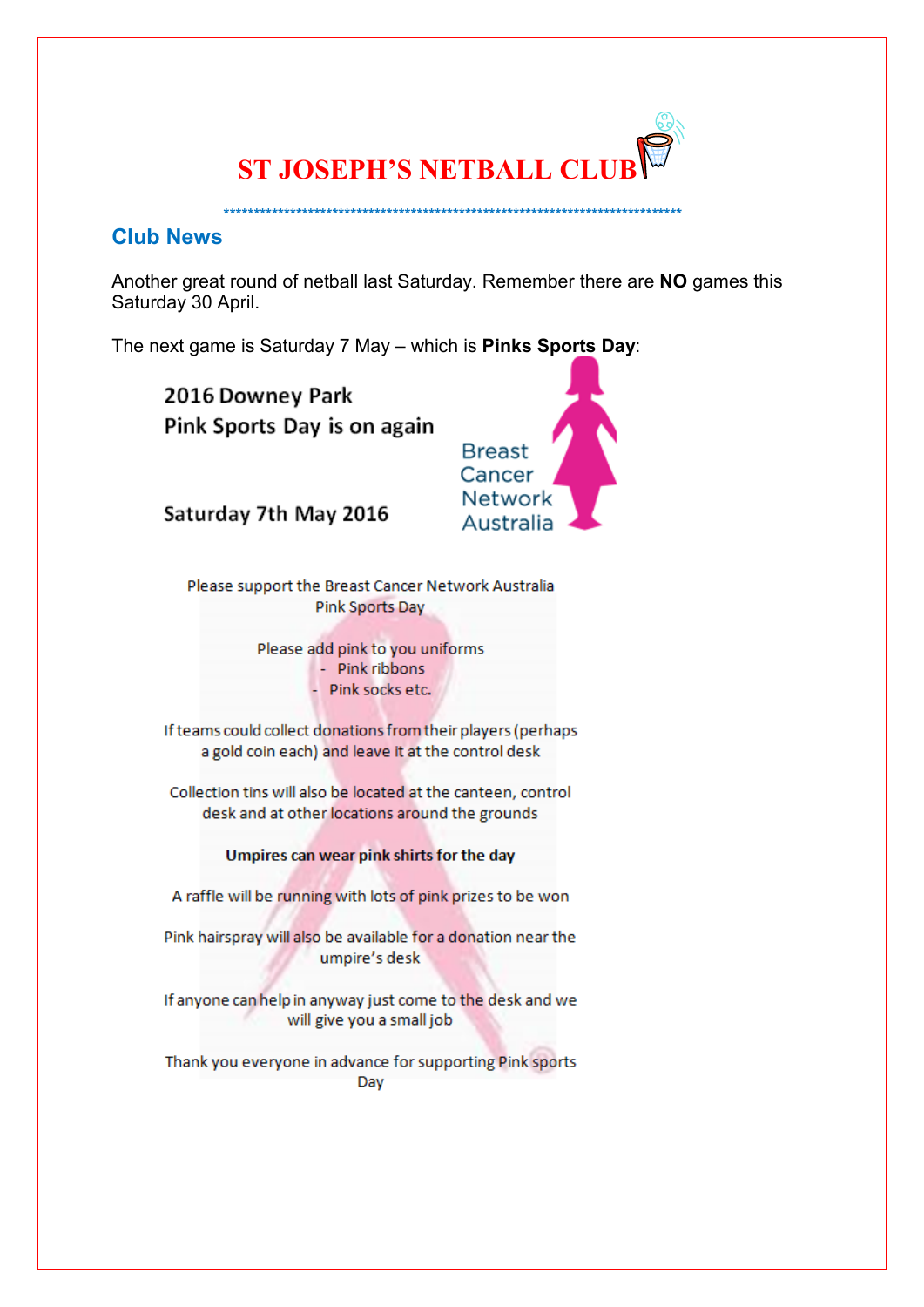

# **Club News**

Another great round of netball last Saturday. Remember there are NO games this Saturday 30 April.

The next game is Saturday 7 May - which is Pinks Sports Day:

2016 Downey Park Pink Sports Day is on again



Saturday 7th May 2016

Please support the Breast Cancer Network Australia Pink Sports Day

Please add pink to you uniforms

- Pink ribbons
- Pink socks etc.

If teams could collect donations from their players (perhaps a gold coin each) and leave it at the control desk

Collection tins will also be located at the canteen, control desk and at other locations around the grounds

# Umpires can wear pink shirts for the day

A raffle will be running with lots of pink prizes to be won

Pink hairspray will also be available for a donation near the umpire's desk

If anyone can help in anyway just come to the desk and we will give you a small job

Thank you everyone in advance for supporting Pink sports Day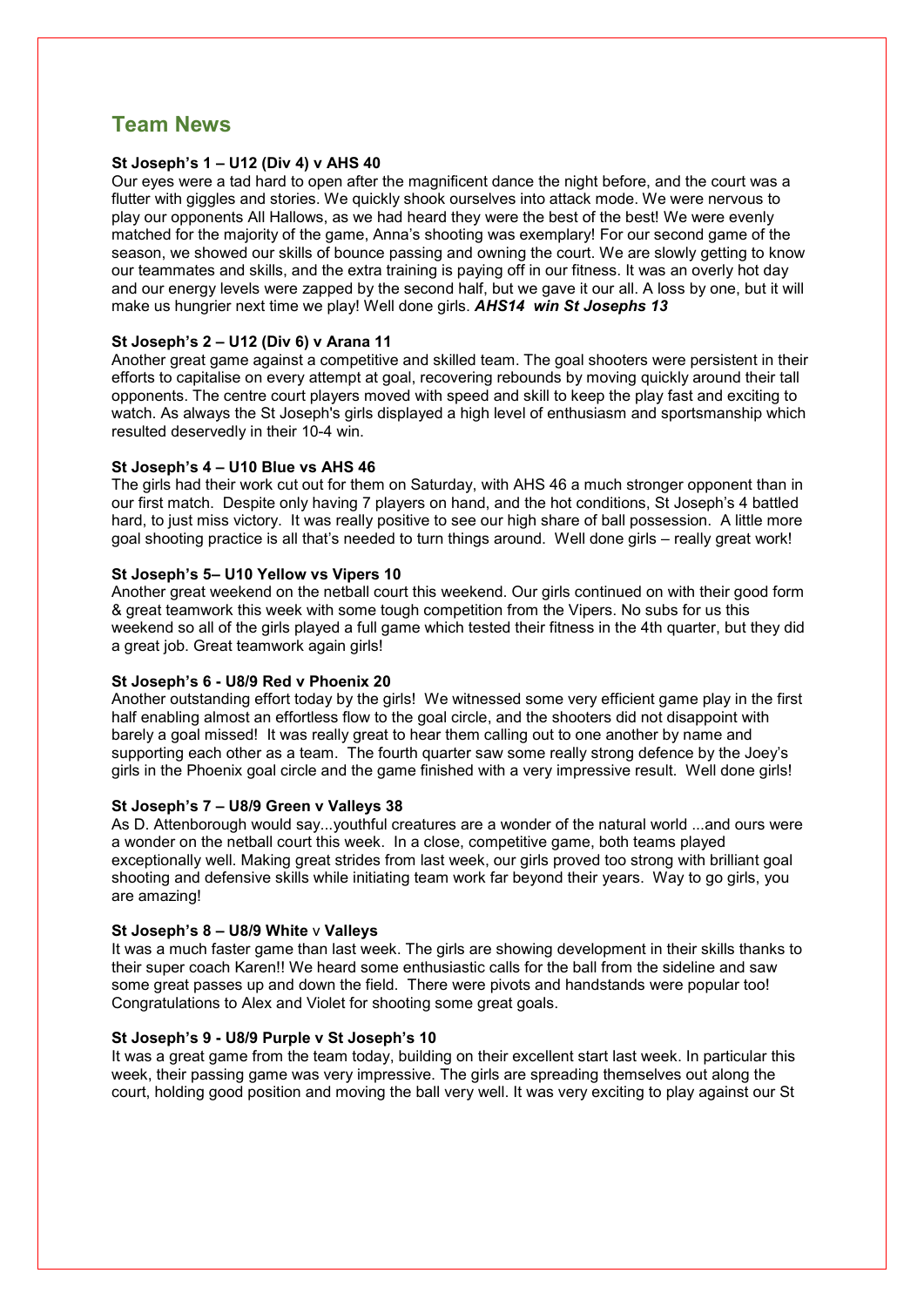# **Team News**

## **St Joseph's 1 – U12 (Div 4) v AHS 40**

Our eyes were a tad hard to open after the magnificent dance the night before, and the court was a flutter with giggles and stories. We quickly shook ourselves into attack mode. We were nervous to play our opponents All Hallows, as we had heard they were the best of the best! We were evenly matched for the majority of the game, Anna's shooting was exemplary! For our second game of the season, we showed our skills of bounce passing and owning the court. We are slowly getting to know our teammates and skills, and the extra training is paying off in our fitness. It was an overly hot day and our energy levels were zapped by the second half, but we gave it our all. A loss by one, but it will make us hungrier next time we play! Well done girls. *AHS14 win St Josephs 13*

### **St Joseph's 2 – U12 (Div 6) v Arana 11**

Another great game against a competitive and skilled team. The goal shooters were persistent in their efforts to capitalise on every attempt at goal, recovering rebounds by moving quickly around their tall opponents. The centre court players moved with speed and skill to keep the play fast and exciting to watch. As always the St Joseph's girls displayed a high level of enthusiasm and sportsmanship which resulted deservedly in their 10-4 win.

### **St Joseph's 4 – U10 Blue vs AHS 46**

The girls had their work cut out for them on Saturday, with AHS 46 a much stronger opponent than in our first match. Despite only having 7 players on hand, and the hot conditions, St Joseph's 4 battled hard, to just miss victory. It was really positive to see our high share of ball possession. A little more goal shooting practice is all that's needed to turn things around. Well done girls – really great work!

#### **St Joseph's 5– U10 Yellow vs Vipers 10**

Another great weekend on the netball court this weekend. Our girls continued on with their good form & great teamwork this week with some tough competition from the Vipers. No subs for us this weekend so all of the girls played a full game which tested their fitness in the 4th quarter, but they did a great job. Great teamwork again girls!

# **St Joseph's 6 - U8/9 Red v Phoenix 20**

Another outstanding effort today by the girls! We witnessed some very efficient game play in the first half enabling almost an effortless flow to the goal circle, and the shooters did not disappoint with barely a goal missed! It was really great to hear them calling out to one another by name and supporting each other as a team. The fourth quarter saw some really strong defence by the Joey's girls in the Phoenix goal circle and the game finished with a very impressive result. Well done girls!

#### **St Joseph's 7 – U8/9 Green v Valleys 38**

As D. Attenborough would say...youthful creatures are a wonder of the natural world ...and ours were a wonder on the netball court this week. In a close, competitive game, both teams played exceptionally well. Making great strides from last week, our girls proved too strong with brilliant goal shooting and defensive skills while initiating team work far beyond their years. Way to go girls, you are amazing!

#### **St Joseph's 8 – U8/9 White** v **Valleys**

It was a much faster game than last week. The girls are showing development in their skills thanks to their super coach Karen!! We heard some enthusiastic calls for the ball from the sideline and saw some great passes up and down the field. There were pivots and handstands were popular too! Congratulations to Alex and Violet for shooting some great goals.

#### **St Joseph's 9 - U8/9 Purple v St Joseph's 10**

It was a great game from the team today, building on their excellent start last week. In particular this week, their passing game was very impressive. The girls are spreading themselves out along the court, holding good position and moving the ball very well. It was very exciting to play against our St